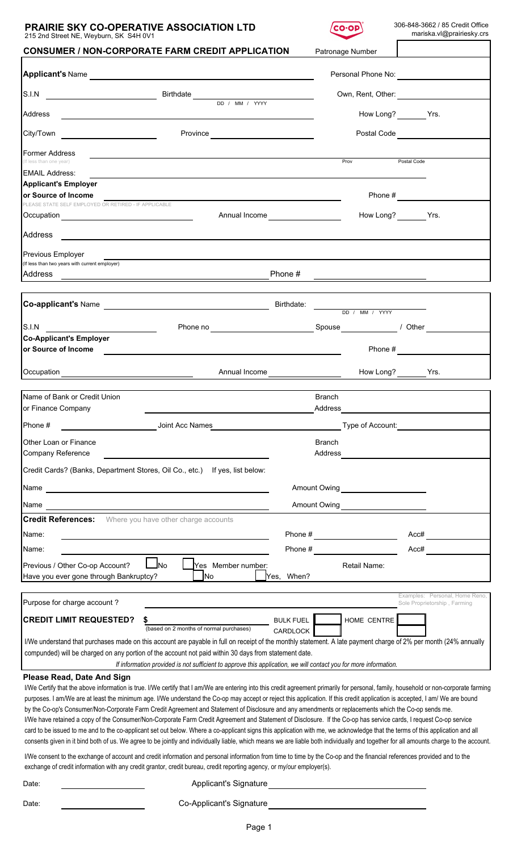## **PRAIRIE SKY CO-OPERATIVE ASSOCIATION LTD**  $\overline{(co\cdot op)}$  306-848-3662 / 85 Credit Office 215 2nd Street NE, Weyburn, SK S4H 0V1

| 215 2nd Street NE, Weyburn, SK S4H UV I                                                                                                                                                                                                                                                                                    |                                      |                                                                                                                  |                                                  |                          |                          |             |                                                                |
|----------------------------------------------------------------------------------------------------------------------------------------------------------------------------------------------------------------------------------------------------------------------------------------------------------------------------|--------------------------------------|------------------------------------------------------------------------------------------------------------------|--------------------------------------------------|--------------------------|--------------------------|-------------|----------------------------------------------------------------|
| <b>CONSUMER / NON-CORPORATE FARM CREDIT APPLICATION</b>                                                                                                                                                                                                                                                                    |                                      |                                                                                                                  |                                                  |                          | Patronage Number         |             |                                                                |
|                                                                                                                                                                                                                                                                                                                            |                                      |                                                                                                                  |                                                  |                          |                          |             |                                                                |
| S.I.N SALIN SALIN SALIN SERVICE SERVICE SERVICE SERVICE SERVICE SERVICE SERVICE SERVICE SERVICE SERVICE SERVICE SERVICE SERVICE SERVICE SERVICE SERVICE SERVICE SERVICE SERVICE SERVICE SERVICE SERVICE SERVICE SERVICE SERVIC                                                                                             |                                      |                                                                                                                  |                                                  |                          |                          |             |                                                                |
| Address<br><u> 1980 - Andrea Andrew Maria (h. 1980).</u>                                                                                                                                                                                                                                                                   |                                      |                                                                                                                  |                                                  |                          | How Long? Yrs.           |             |                                                                |
| City/Town __________________________                                                                                                                                                                                                                                                                                       |                                      | Province <u>________________________</u>                                                                         |                                                  |                          | Postal Code              |             |                                                                |
| Former Address<br>(If less than one year)                                                                                                                                                                                                                                                                                  |                                      |                                                                                                                  |                                                  |                          | Prov                     | Postal Code |                                                                |
| <b>EMAIL Address:</b>                                                                                                                                                                                                                                                                                                      |                                      |                                                                                                                  |                                                  |                          |                          |             |                                                                |
| <b>Applicant's Employer</b>                                                                                                                                                                                                                                                                                                |                                      |                                                                                                                  |                                                  |                          |                          |             |                                                                |
| or Source of Income                                                                                                                                                                                                                                                                                                        |                                      |                                                                                                                  |                                                  |                          |                          |             |                                                                |
| PLEASE STATE SELF EMPLOYED OR RETIRED - IF APPLICABLE                                                                                                                                                                                                                                                                      |                                      |                                                                                                                  | Annual Income <b>Annual Income Annual Income</b> |                          | How Long? _________ Yrs. |             |                                                                |
|                                                                                                                                                                                                                                                                                                                            |                                      |                                                                                                                  |                                                  |                          |                          |             |                                                                |
| Previous Employer<br>(If less than two years with current employer)                                                                                                                                                                                                                                                        |                                      |                                                                                                                  |                                                  |                          |                          |             |                                                                |
| Address                                                                                                                                                                                                                                                                                                                    |                                      |                                                                                                                  | Phone #                                          |                          |                          |             |                                                                |
|                                                                                                                                                                                                                                                                                                                            |                                      |                                                                                                                  |                                                  |                          |                          |             |                                                                |
|                                                                                                                                                                                                                                                                                                                            |                                      |                                                                                                                  |                                                  |                          | DD / MM / YYYY           |             |                                                                |
| S.I.N                                                                                                                                                                                                                                                                                                                      |                                      | Phone no Spouse Manuel Allen Spouse Manuel Allen Manuel Allen Manuel Allen Manuel Allen Manuel Allen Manuel Al   |                                                  |                          |                          |             |                                                                |
| <b>Co-Applicant's Employer</b><br>or Source of Income                                                                                                                                                                                                                                                                      |                                      |                                                                                                                  |                                                  |                          |                          |             | Phone $\#$                                                     |
|                                                                                                                                                                                                                                                                                                                            |                                      |                                                                                                                  |                                                  |                          | How Long? _________ Yrs. |             |                                                                |
| Name of Bank or Credit Union                                                                                                                                                                                                                                                                                               |                                      |                                                                                                                  |                                                  | <b>Branch</b>            |                          |             |                                                                |
| or Finance Company                                                                                                                                                                                                                                                                                                         |                                      |                                                                                                                  |                                                  | Address                  |                          |             |                                                                |
| Phone #                                                                                                                                                                                                                                                                                                                    | Joint Acc Names                      |                                                                                                                  |                                                  |                          | Type of Account:         |             |                                                                |
| Other Loan or Finance<br><b>Company Reference</b>                                                                                                                                                                                                                                                                          |                                      |                                                                                                                  |                                                  | <b>Branch</b><br>Address |                          |             |                                                                |
| Credit Cards? (Banks, Department Stores, Oil Co., etc.)                                                                                                                                                                                                                                                                    |                                      | If yes, list below:                                                                                              |                                                  |                          |                          |             |                                                                |
| Name<br><u> 1989 - Johann Stein, mars an deus Amerikaansk kommunister (</u>                                                                                                                                                                                                                                                |                                      |                                                                                                                  |                                                  |                          |                          |             |                                                                |
| Name                                                                                                                                                                                                                                                                                                                       |                                      |                                                                                                                  |                                                  |                          | Amount Owing             |             |                                                                |
| <b>Credit References:</b>                                                                                                                                                                                                                                                                                                  | Where you have other charge accounts |                                                                                                                  |                                                  |                          |                          |             |                                                                |
| Name:                                                                                                                                                                                                                                                                                                                      |                                      |                                                                                                                  | Phone #                                          |                          |                          | Acc#        |                                                                |
| Name:                                                                                                                                                                                                                                                                                                                      |                                      |                                                                                                                  | Phone #                                          |                          |                          | Acc#        |                                                                |
| Previous / Other Co-op Account?                                                                                                                                                                                                                                                                                            | JNo                                  | Yes Member number:                                                                                               |                                                  |                          | Retail Name:             |             |                                                                |
| Have you ever gone through Bankruptcy?                                                                                                                                                                                                                                                                                     |                                      | lNo                                                                                                              | Yes, When?                                       |                          |                          |             |                                                                |
|                                                                                                                                                                                                                                                                                                                            |                                      |                                                                                                                  |                                                  |                          |                          |             |                                                                |
| Purpose for charge account?                                                                                                                                                                                                                                                                                                |                                      |                                                                                                                  |                                                  |                          |                          |             | Examples: Personal, Home Reno,<br>Sole Proprietorship, Farming |
| <b>CREDIT LIMIT REQUESTED?</b>                                                                                                                                                                                                                                                                                             |                                      |                                                                                                                  | <b>BULK FUEL</b>                                 |                          | HOME CENTRE              |             |                                                                |
|                                                                                                                                                                                                                                                                                                                            |                                      | (based on 2 months of normal purchases)                                                                          | CARDLOCK                                         |                          |                          |             |                                                                |
| I/We understand that purchases made on this account are payable in full on receipt of the monthly statement. A late payment charge of 2% per month (24% annually                                                                                                                                                           |                                      |                                                                                                                  |                                                  |                          |                          |             |                                                                |
| compunded) will be charged on any portion of the account not paid within 30 days from statement date.                                                                                                                                                                                                                      |                                      | If information provided is not sufficient to approve this application, we will contact you for more information. |                                                  |                          |                          |             |                                                                |
| Please Read, Date And Sign                                                                                                                                                                                                                                                                                                 |                                      |                                                                                                                  |                                                  |                          |                          |             |                                                                |
| I/We Certify that the above information is true. I/We certify that I am/We are entering into this credit agreement primarily for personal, family, household or non-corporate farming                                                                                                                                      |                                      |                                                                                                                  |                                                  |                          |                          |             |                                                                |
| purposes. I am/We are at least the minimum age. I/We understand the Co-op may accept or reject this application. If this credit application is accepted, I am/ We are bound                                                                                                                                                |                                      |                                                                                                                  |                                                  |                          |                          |             |                                                                |
| by the Co-op's Consumer/Non-Corporate Farm Credit Agreement and Statement of Disclosure and any amendments or replacements which the Co-op sends me.<br>I/We have retained a copy of the Consumer/Non-Corporate Farm Credit Agreement and Statement of Disclosure. If the Co-op has service cards, I request Co-op service |                                      |                                                                                                                  |                                                  |                          |                          |             |                                                                |
| card to be issued to me and to the co-applicant set out below. Where a co-applicant signs this application with me, we acknowledge that the terms of this application and all                                                                                                                                              |                                      |                                                                                                                  |                                                  |                          |                          |             |                                                                |
| consents given in it bind both of us. We agree to be jointly and individually liable, which means we are liable both individually and together for all amounts charge to the account.                                                                                                                                      |                                      |                                                                                                                  |                                                  |                          |                          |             |                                                                |
| I/We consent to the exchange of account and credit information and personal information from time to time by the Co-op and the financial references provided and to the<br>exchange of credit information with any credit grantor, credit bureau, credit reporting agency, or my/our employer(s).                          |                                      |                                                                                                                  |                                                  |                          |                          |             |                                                                |
|                                                                                                                                                                                                                                                                                                                            |                                      |                                                                                                                  |                                                  |                          |                          |             |                                                                |

Date: Applicant's Signature

Date: <u>Co-Applicant's Signature</u>